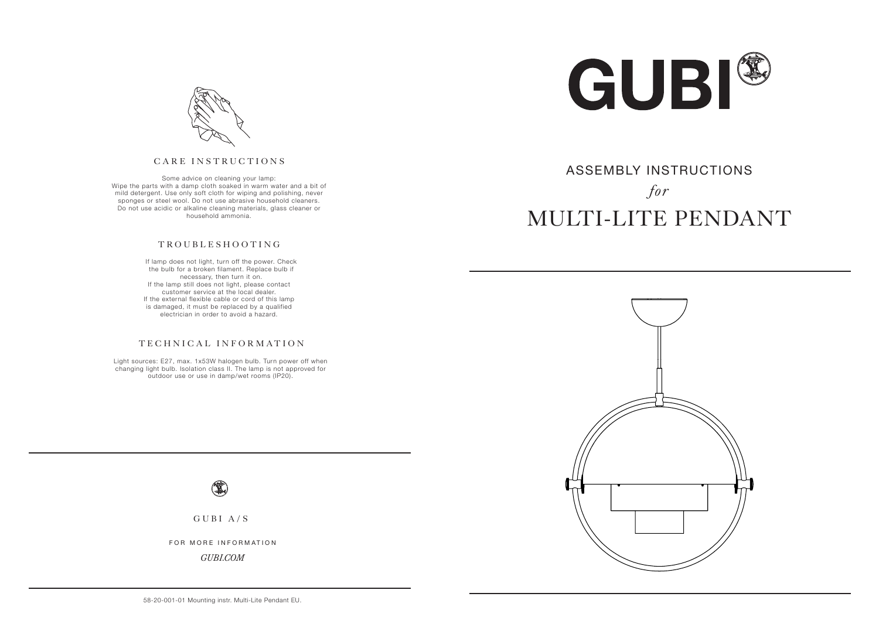

# MULTI-LITE PENDANT ASSEMBLY INSTRUCTIONS *for*



#### CARE INSTRUCTIONS

Some advice on cleaning your lamp: Wipe the parts with a damp cloth soaked in warm water and a bit of mild detergent. Use only soft cloth for wiping and polishing, never sponges or steel wool. Do not use abrasive household cleaners. Do not use acidic or alkaline cleaning materials, glass cleaner or household ammonia.

#### TROUBLESHOOTING

 If lamp does not light, turn off the power. Check the bulb for a broken filament. Replace bulb if necessary, then turn it on. If the lamp still does not light, please contact customer service at the local dealer. If the external flexible cable or cord of this lamp is damaged, it must be replaced by a qualified electrician in order to avoid a hazard.

#### TECHNICAL INFORMATION

Light sources: E27, max. 1x53W halogen bulb. Turn power off when changing light bulb. Isolation class II. The lamp is not approved for outdoor use or use in damp/wet rooms (IP20).





GUBI A/S

FOR MORE INFORMATION

*GUBI.COM*